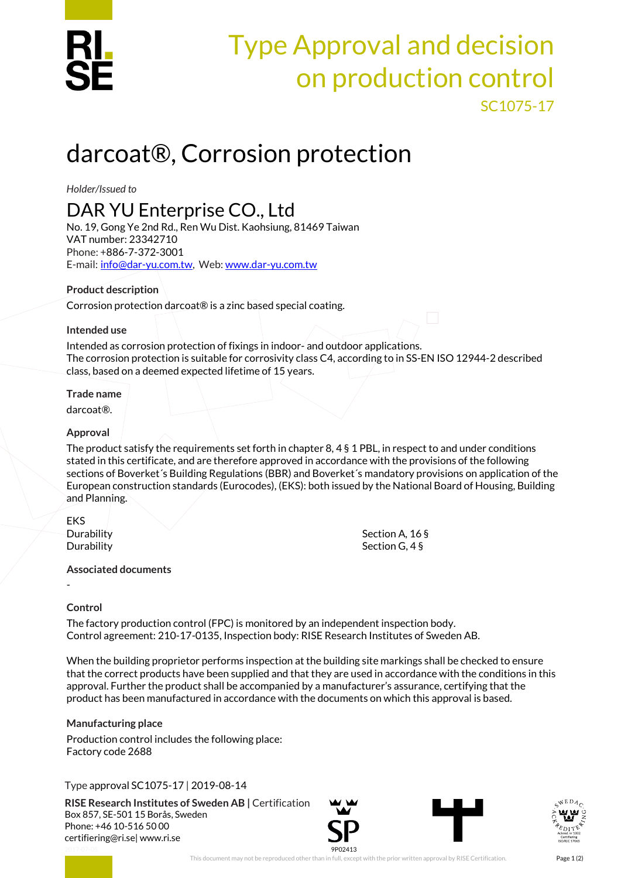

# Type Approval and decision on production control SC1075-17

# darcoat®, Corrosion protection

*Holder/Issued to*

## DAR YU Enterprise CO., Ltd

No. 19, Gong Ye 2nd Rd., Ren Wu Dist. Kaohsiung, 81469 Taiwan VAT number: 23342710 Phone: +886-7-372-3001 E-mail: [info@dar-yu.com.tw,](mailto:info@dar-yu.com.tw) Web[: www.dar-yu.com.tw](http://www.dar-yu.com.tw/)

#### **Product description**

Corrosion protection darcoat® is a zinc based special coating.

#### **Intended use**

Intended as corrosion protection of fixings in indoor- and outdoor applications. The corrosion protection is suitable for corrosivity class C4, according to in SS-EN ISO 12944-2 described class, based on a deemed expected lifetime of 15 years.

#### **Trade name**

darcoat®.

#### **Approval**

The product satisfy the requirements set forth in chapter  $8, 4 \text{ s} 1$  PBL, in respect to and under conditions stated in this certificate, and are therefore approved in accordance with the provisions of the following sections of Boverket´s Building Regulations (BBR) and Boverket´s mandatory provisions on application of the European construction standards (Eurocodes), (EKS): both issued by the National Board of Housing, Building and Planning.

EKS Durability Section A, 16 §

Durability Section G, 4 §

#### **Associated documents**

-

### **Control**

The factory production control (FPC) is monitored by an independent inspection body. Control agreement: 210-17-0135, Inspection body: RISE Research Institutes of Sweden AB.

When the building proprietor performs inspection at the building site markings shall be checked to ensure that the correct products have been supplied and that they are used in accordance with the conditions in this approval. Further the product shall be accompanied by a manufacturer's assurance, certifying that the product has been manufactured in accordance with the documents on which this approval is based.

### **Manufacturing place**

Production control includes the following place: Factory code 2688

### Type approval SC1075-17 | 2019-08-14

**RISE Research Institutes of Sweden AB |** Certification Box 857, SE-501 15 Borås, Sweden Phone: +46 10-516 50 00 [certifiering@ri.se|](mailto:certifiering@ri.se) www.ri.se